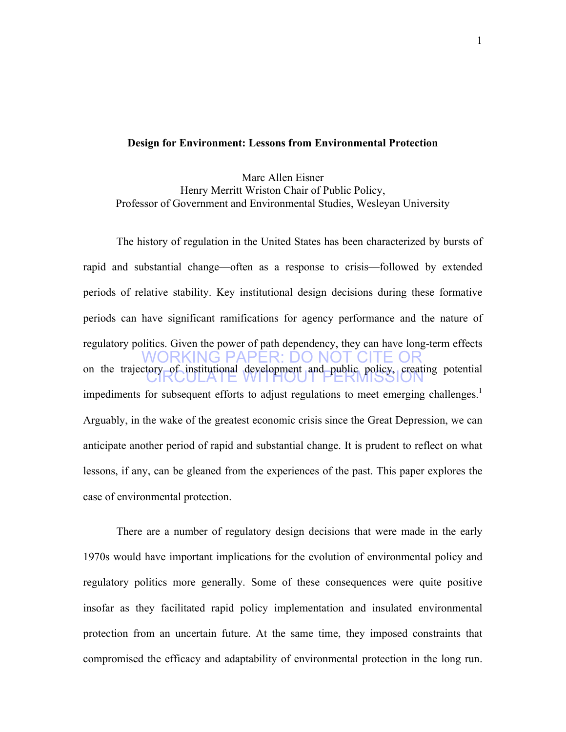#### **Design for Environment: Lessons from Environmental Protection**

Marc Allen Eisner Henry Merritt Wriston Chair of Public Policy, Professor of Government and Environmental Studies, Wesleyan University

RKING PAPER<sup>.</sup> DO NOT CI on the trajectory of institutional development and public policy, creating potential The history of regulation in the United States has been characterized by bursts of rapid and substantial change—often as a response to crisis—followed by extended periods of relative stability. Key institutional design decisions during these formative periods can have significant ramifications for agency performance and the nature of regulatory politics. Given the power of path dependency, they can have long-term effects impediments for subsequent efforts to adjust regulations to meet emerging challenges.<sup>1</sup> Arguably, in the wake of the greatest economic crisis since the Great Depression, we can anticipate another period of rapid and substantial change. It is prudent to reflect on what lessons, if any, can be gleaned from the experiences of the past. This paper explores the case of environmental protection.

There are a number of regulatory design decisions that were made in the early 1970s would have important implications for the evolution of environmental policy and regulatory politics more generally. Some of these consequences were quite positive insofar as they facilitated rapid policy implementation and insulated environmental protection from an uncertain future. At the same time, they imposed constraints that compromised the efficacy and adaptability of environmental protection in the long run.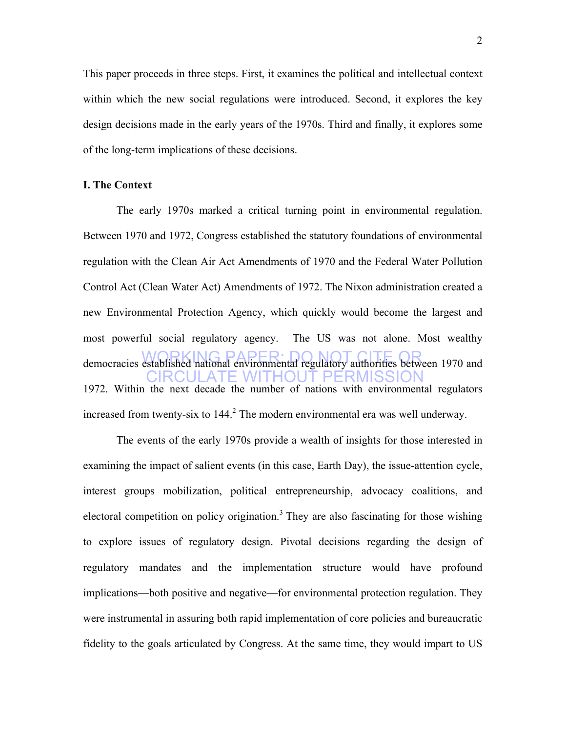This paper proceeds in three steps. First, it examines the political and intellectual context within which the new social regulations were introduced. Second, it explores the key design decisions made in the early years of the 1970s. Third and finally, it explores some of the long-term implications of these decisions.

#### **I. The Context**

democracies established national environmental regulatory authorities between 1970 and CIRCULATE WITHOUT PERMISSION The early 1970s marked a critical turning point in environmental regulation. Between 1970 and 1972, Congress established the statutory foundations of environmental regulation with the Clean Air Act Amendments of 1970 and the Federal Water Pollution Control Act (Clean Water Act) Amendments of 1972. The Nixon administration created a new Environmental Protection Agency, which quickly would become the largest and most powerful social regulatory agency. The US was not alone. Most wealthy 1972. Within the next decade the number of nations with environmental regulators increased from twenty-six to  $144<sup>2</sup>$ . The modern environmental era was well underway.

The events of the early 1970s provide a wealth of insights for those interested in examining the impact of salient events (in this case, Earth Day), the issue-attention cycle, interest groups mobilization, political entrepreneurship, advocacy coalitions, and electoral competition on policy origination.<sup>3</sup> They are also fascinating for those wishing to explore issues of regulatory design. Pivotal decisions regarding the design of regulatory mandates and the implementation structure would have profound implications—both positive and negative—for environmental protection regulation. They were instrumental in assuring both rapid implementation of core policies and bureaucratic fidelity to the goals articulated by Congress. At the same time, they would impart to US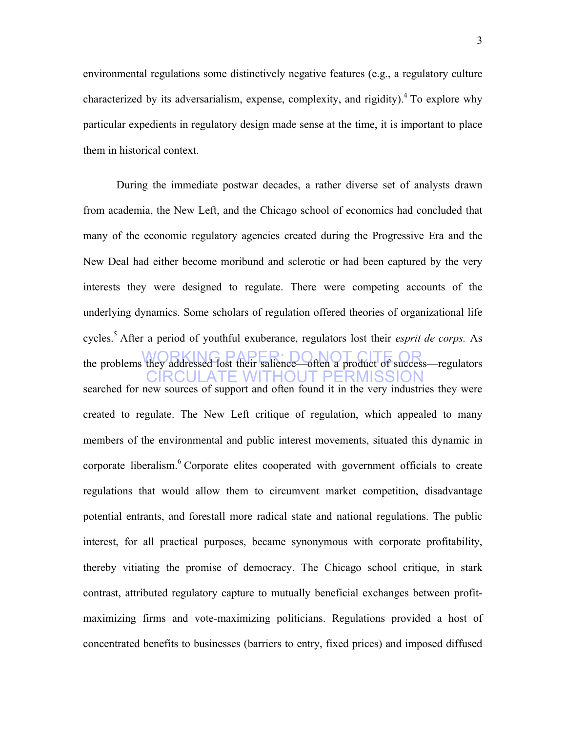environmental regulations some distinctively negative features (e.g., a regulatory culture characterized by its adversarialism, expense, complexity, and rigidity).<sup>4</sup> To explore why particular expedients in regulatory design made sense at the time, it is important to place them in historical context.

the problems they addressed lost their salience—often a product of success—regulators CIRCULATE WITHOUT PERMISSION During the immediate postwar decades, a rather diverse set of analysts drawn from academia, the New Left, and the Chicago school of economics had concluded that many of the economic regulatory agencies created during the Progressive Era and the New Deal had either become moribund and sclerotic or had been captured by the very interests they were designed to regulate. There were competing accounts of the underlying dynamics. Some scholars of regulation offered theories of organizational life cycles.5 After a period of youthful exuberance, regulators lost their *esprit de corps.* As searched for new sources of support and often found it in the very industries they were created to regulate. The New Left critique of regulation, which appealed to many members of the environmental and public interest movements, situated this dynamic in corporate liberalism.<sup>6</sup> Corporate elites cooperated with government officials to create regulations that would allow them to circumvent market competition, disadvantage potential entrants, and forestall more radical state and national regulations. The public interest, for all practical purposes, became synonymous with corporate profitability, thereby vitiating the promise of democracy. The Chicago school critique, in stark contrast, attributed regulatory capture to mutually beneficial exchanges between profitmaximizing firms and vote-maximizing politicians. Regulations provided a host of concentrated benefits to businesses (barriers to entry, fixed prices) and imposed diffused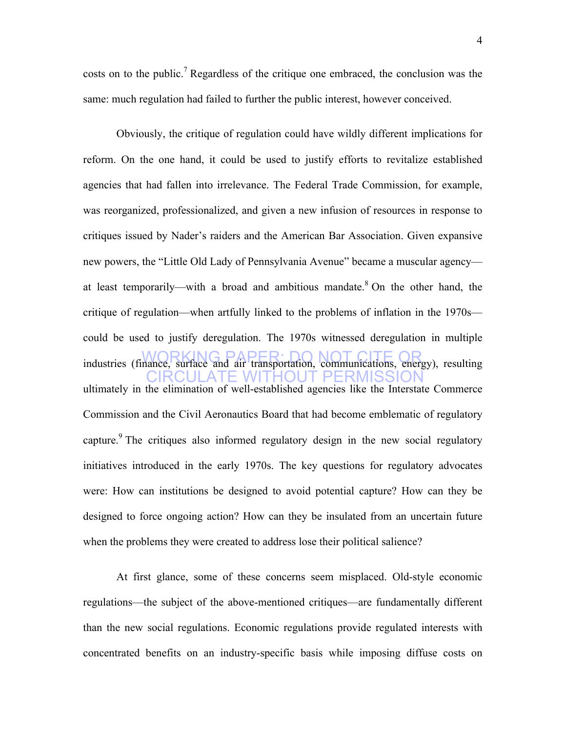costs on to the public.<sup>7</sup> Regardless of the critique one embraced, the conclusion was the same: much regulation had failed to further the public interest, however conceived.

WORKING PAPER: DO NOT CITE OR industries (finance, surface and air transportation, communications, energy), resulting CIRCULATE WITHOUT PERMISSION Obviously, the critique of regulation could have wildly different implications for reform. On the one hand, it could be used to justify efforts to revitalize established agencies that had fallen into irrelevance. The Federal Trade Commission, for example, was reorganized, professionalized, and given a new infusion of resources in response to critiques issued by Nader's raiders and the American Bar Association. Given expansive new powers, the "Little Old Lady of Pennsylvania Avenue" became a muscular agency at least temporarily—with a broad and ambitious mandate. $8$  On the other hand, the critique of regulation—when artfully linked to the problems of inflation in the 1970s could be used to justify deregulation. The 1970s witnessed deregulation in multiple ultimately in the elimination of well-established agencies like the Interstate Commerce Commission and the Civil Aeronautics Board that had become emblematic of regulatory capture.<sup>9</sup> The critiques also informed regulatory design in the new social regulatory initiatives introduced in the early 1970s. The key questions for regulatory advocates were: How can institutions be designed to avoid potential capture? How can they be designed to force ongoing action? How can they be insulated from an uncertain future when the problems they were created to address lose their political salience?

At first glance, some of these concerns seem misplaced. Old-style economic regulations—the subject of the above-mentioned critiques—are fundamentally different than the new social regulations. Economic regulations provide regulated interests with concentrated benefits on an industry-specific basis while imposing diffuse costs on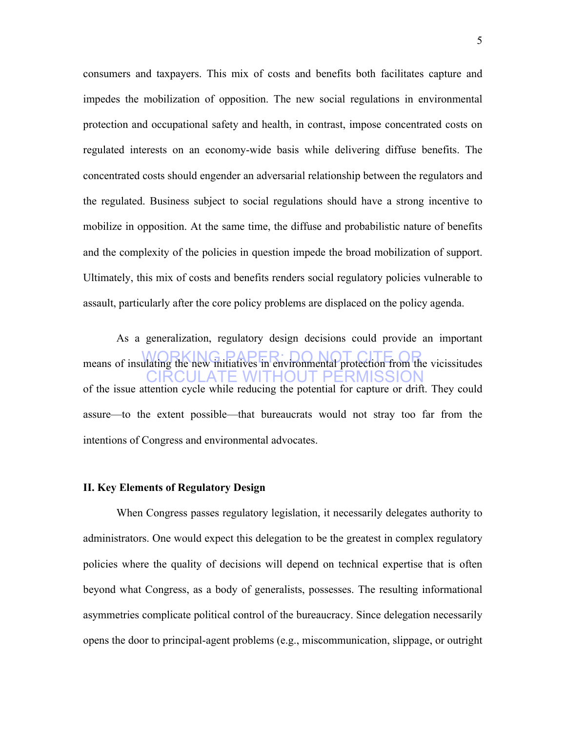consumers and taxpayers. This mix of costs and benefits both facilitates capture and impedes the mobilization of opposition. The new social regulations in environmental protection and occupational safety and health, in contrast, impose concentrated costs on regulated interests on an economy-wide basis while delivering diffuse benefits. The concentrated costs should engender an adversarial relationship between the regulators and the regulated. Business subject to social regulations should have a strong incentive to mobilize in opposition. At the same time, the diffuse and probabilistic nature of benefits and the complexity of the policies in question impede the broad mobilization of support. Ultimately, this mix of costs and benefits renders social regulatory policies vulnerable to assault, particularly after the core policy problems are displaced on the policy agenda.

means of insulating the new initiatives in environmental protection from the vicissitudes CIRCULATE WITHOUT PERMISSION As a generalization, regulatory design decisions could provide an important of the issue attention cycle while reducing the potential for capture or drift. They could assure—to the extent possible—that bureaucrats would not stray too far from the intentions of Congress and environmental advocates.

#### **II. Key Elements of Regulatory Design**

When Congress passes regulatory legislation, it necessarily delegates authority to administrators. One would expect this delegation to be the greatest in complex regulatory policies where the quality of decisions will depend on technical expertise that is often beyond what Congress, as a body of generalists, possesses. The resulting informational asymmetries complicate political control of the bureaucracy. Since delegation necessarily opens the door to principal-agent problems (e.g., miscommunication, slippage, or outright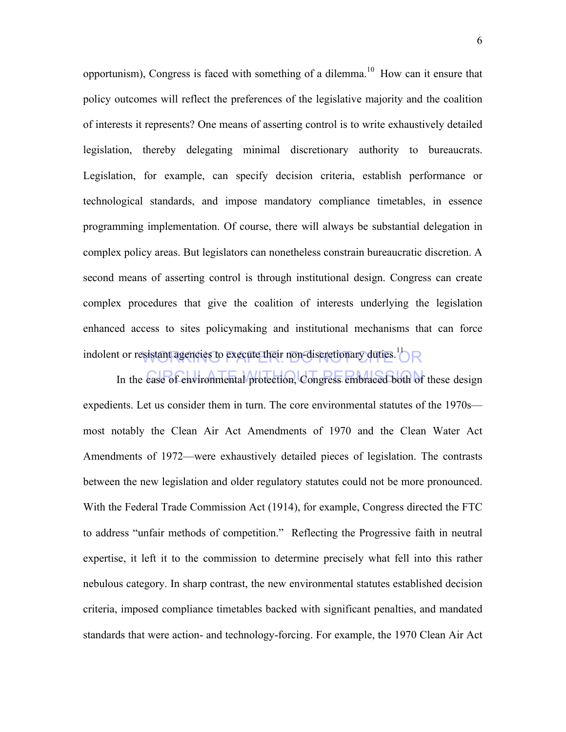indolent or resistant agencies to execute their non-discretionary duties.<sup>11</sup> $R$ opportunism), Congress is faced with something of a dilemma.<sup>10</sup> How can it ensure that policy outcomes will reflect the preferences of the legislative majority and the coalition of interests it represents? One means of asserting control is to write exhaustively detailed legislation, thereby delegating minimal discretionary authority to bureaucrats. Legislation, for example, can specify decision criteria, establish performance or technological standards, and impose mandatory compliance timetables, in essence programming implementation. Of course, there will always be substantial delegation in complex policy areas. But legislators can nonetheless constrain bureaucratic discretion. A second means of asserting control is through institutional design. Congress can create complex procedures that give the coalition of interests underlying the legislation enhanced access to sites policymaking and institutional mechanisms that can force

In the case of environmental protection, Congress embraced both of these design expedients. Let us consider them in turn. The core environmental statutes of the 1970s most notably the Clean Air Act Amendments of 1970 and the Clean Water Act Amendments of 1972—were exhaustively detailed pieces of legislation. The contrasts between the new legislation and older regulatory statutes could not be more pronounced. With the Federal Trade Commission Act (1914), for example, Congress directed the FTC to address "unfair methods of competition." Reflecting the Progressive faith in neutral expertise, it left it to the commission to determine precisely what fell into this rather nebulous category. In sharp contrast, the new environmental statutes established decision criteria, imposed compliance timetables backed with significant penalties, and mandated standards that were action- and technology-forcing. For example, the 1970 Clean Air Act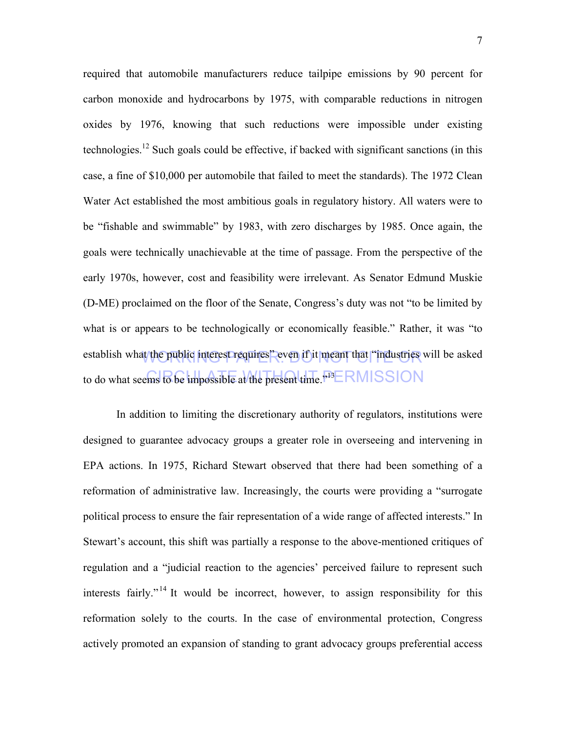establish what the public interest requires" even if it meant that "industries will be asked to do what seems to be impossible at the present time.  $^{13}ERMISSION$ required that automobile manufacturers reduce tailpipe emissions by 90 percent for carbon monoxide and hydrocarbons by 1975, with comparable reductions in nitrogen oxides by 1976, knowing that such reductions were impossible under existing technologies.<sup>12</sup> Such goals could be effective, if backed with significant sanctions (in this case, a fine of \$10,000 per automobile that failed to meet the standards). The 1972 Clean Water Act established the most ambitious goals in regulatory history. All waters were to be "fishable and swimmable" by 1983, with zero discharges by 1985. Once again, the goals were technically unachievable at the time of passage. From the perspective of the early 1970s, however, cost and feasibility were irrelevant. As Senator Edmund Muskie (D-ME) proclaimed on the floor of the Senate, Congress's duty was not "to be limited by what is or appears to be technologically or economically feasible." Rather, it was "to

In addition to limiting the discretionary authority of regulators, institutions were designed to guarantee advocacy groups a greater role in overseeing and intervening in EPA actions. In 1975, Richard Stewart observed that there had been something of a reformation of administrative law. Increasingly, the courts were providing a "surrogate political process to ensure the fair representation of a wide range of affected interests." In Stewart's account, this shift was partially a response to the above-mentioned critiques of regulation and a "judicial reaction to the agencies' perceived failure to represent such interests fairly." <sup>14</sup> It would be incorrect, however, to assign responsibility for this reformation solely to the courts. In the case of environmental protection, Congress actively promoted an expansion of standing to grant advocacy groups preferential access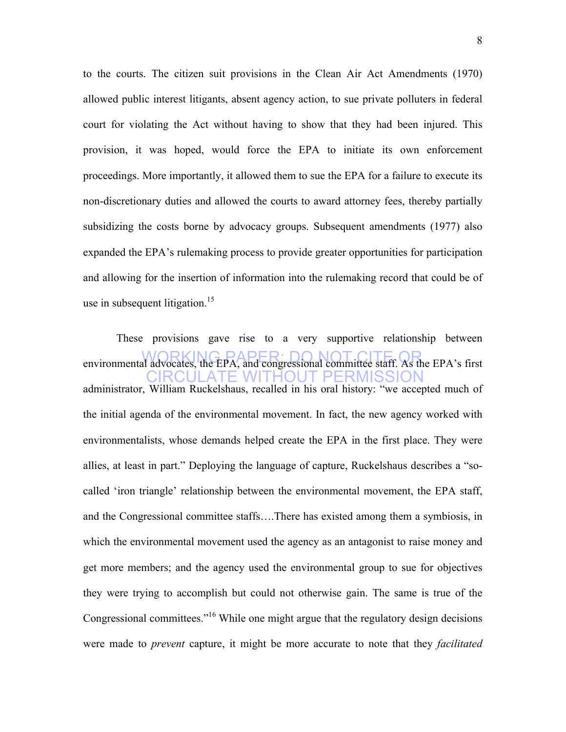to the courts. The citizen suit provisions in the Clean Air Act Amendments (1970) allowed public interest litigants, absent agency action, to sue private polluters in federal court for violating the Act without having to show that they had been injured. This provision, it was hoped, would force the EPA to initiate its own enforcement proceedings. More importantly, it allowed them to sue the EPA for a failure to execute its non-discretionary duties and allowed the courts to award attorney fees, thereby partially subsidizing the costs borne by advocacy groups. Subsequent amendments (1977) also expanded the EPA's rulemaking process to provide greater opportunities for participation and allowing for the insertion of information into the rulemaking record that could be of use in subsequent litigation.<sup>15</sup>

environmental advocates, the EPA, and congressional committee staff. As the EPA's first CIRCULATE WITHOUT PERMISSION These provisions gave rise to a very supportive relationship between administrator, William Ruckelshaus, recalled in his oral history: "we accepted much of the initial agenda of the environmental movement. In fact, the new agency worked with environmentalists, whose demands helped create the EPA in the first place. They were allies, at least in part." Deploying the language of capture, Ruckelshaus describes a "socalled 'iron triangle' relationship between the environmental movement, the EPA staff, and the Congressional committee staffs….There has existed among them a symbiosis, in which the environmental movement used the agency as an antagonist to raise money and get more members; and the agency used the environmental group to sue for objectives they were trying to accomplish but could not otherwise gain. The same is true of the Congressional committees."16 While one might argue that the regulatory design decisions were made to *prevent* capture, it might be more accurate to note that they *facilitated*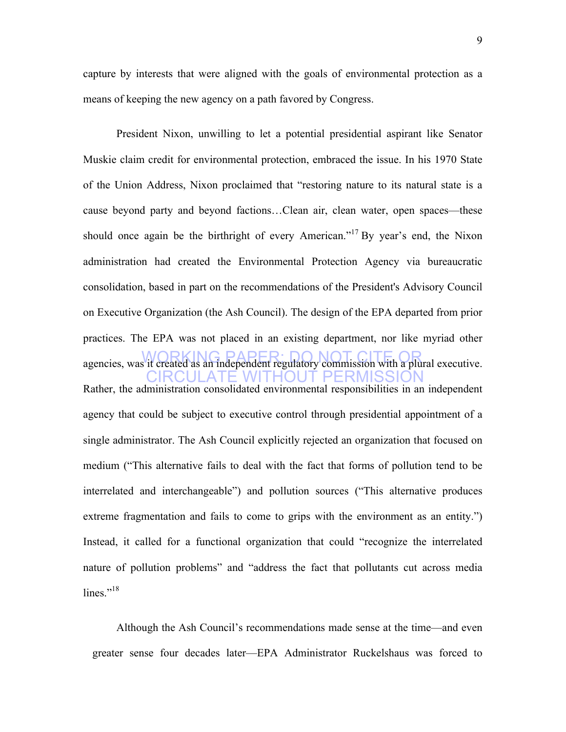capture by interests that were aligned with the goals of environmental protection as a means of keeping the new agency on a path favored by Congress.

agencies, was it created as an independent regulatory commission with a plural executive. CIRCULATE WITHOUT PERMISSION President Nixon, unwilling to let a potential presidential aspirant like Senator Muskie claim credit for environmental protection, embraced the issue. In his 1970 State of the Union Address, Nixon proclaimed that "restoring nature to its natural state is a cause beyond party and beyond factions…Clean air, clean water, open spaces—these should once again be the birthright of every American."<sup>17</sup> By year's end, the Nixon administration had created the Environmental Protection Agency via bureaucratic consolidation, based in part on the recommendations of the President's Advisory Council on Executive Organization (the Ash Council). The design of the EPA departed from prior practices. The EPA was not placed in an existing department, nor like myriad other Rather, the administration consolidated environmental responsibilities in an independent agency that could be subject to executive control through presidential appointment of a single administrator. The Ash Council explicitly rejected an organization that focused on medium ("This alternative fails to deal with the fact that forms of pollution tend to be interrelated and interchangeable") and pollution sources ("This alternative produces extreme fragmentation and fails to come to grips with the environment as an entity.") Instead, it called for a functional organization that could "recognize the interrelated nature of pollution problems" and "address the fact that pollutants cut across media lines." $^{18}$ 

Although the Ash Council's recommendations made sense at the time—and even greater sense four decades later—EPA Administrator Ruckelshaus was forced to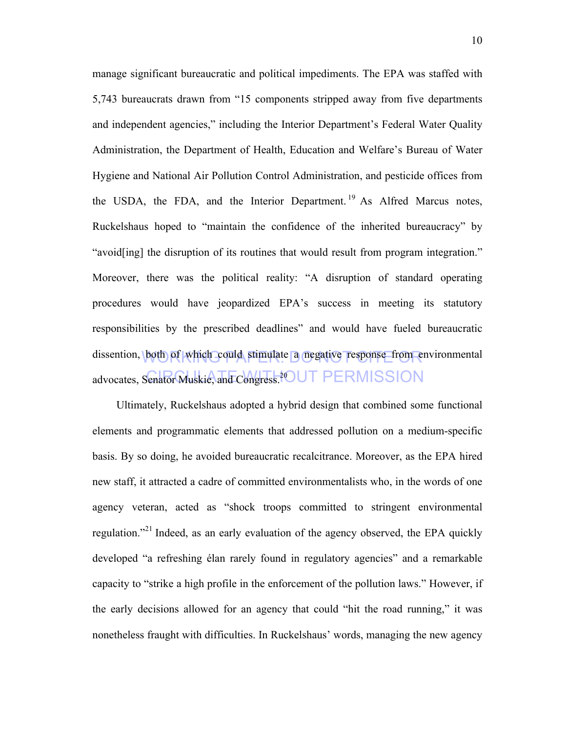dissention, both of which could stimulate a negative response from environmental advocates, Senator Muskie, and Congress.<sup>20</sup>UT PERMISSION manage significant bureaucratic and political impediments. The EPA was staffed with 5,743 bureaucrats drawn from "15 components stripped away from five departments and independent agencies," including the Interior Department's Federal Water Quality Administration, the Department of Health, Education and Welfare's Bureau of Water Hygiene and National Air Pollution Control Administration, and pesticide offices from the USDA, the FDA, and the Interior Department.<sup>19</sup> As Alfred Marcus notes, Ruckelshaus hoped to "maintain the confidence of the inherited bureaucracy" by "avoid[ing] the disruption of its routines that would result from program integration." Moreover, there was the political reality: "A disruption of standard operating procedures would have jeopardized EPA's success in meeting its statutory responsibilities by the prescribed deadlines" and would have fueled bureaucratic

Ultimately, Ruckelshaus adopted a hybrid design that combined some functional elements and programmatic elements that addressed pollution on a medium-specific basis. By so doing, he avoided bureaucratic recalcitrance. Moreover, as the EPA hired new staff, it attracted a cadre of committed environmentalists who, in the words of one agency veteran, acted as "shock troops committed to stringent environmental regulation."21 Indeed, as an early evaluation of the agency observed, the EPA quickly developed "a refreshing élan rarely found in regulatory agencies" and a remarkable capacity to "strike a high profile in the enforcement of the pollution laws." However, if the early decisions allowed for an agency that could "hit the road running," it was nonetheless fraught with difficulties. In Ruckelshaus' words, managing the new agency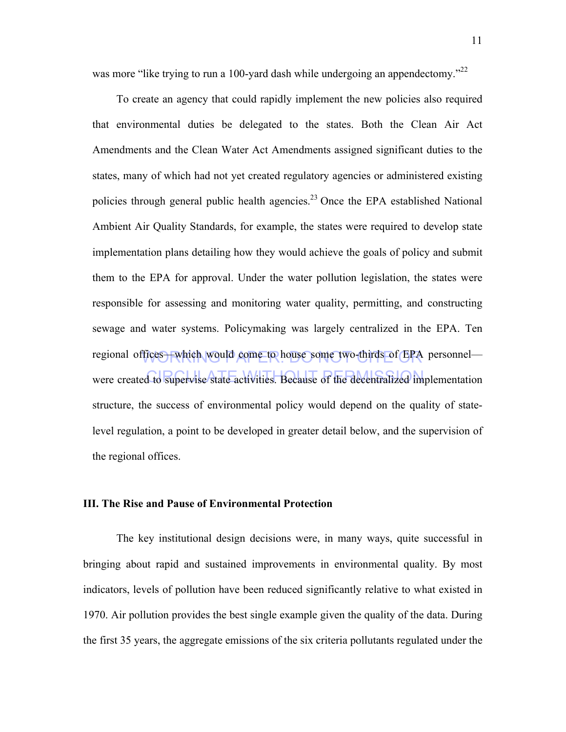was more "like trying to run a 100-yard dash while undergoing an appendectomy."<sup>22</sup>

regional offices—which would come to house some two-thirds of EPA personnel were created to supervise state activities. Because of the decentralized implementation To create an agency that could rapidly implement the new policies also required that environmental duties be delegated to the states. Both the Clean Air Act Amendments and the Clean Water Act Amendments assigned significant duties to the states, many of which had not yet created regulatory agencies or administered existing policies through general public health agencies.23 Once the EPA established National Ambient Air Quality Standards, for example, the states were required to develop state implementation plans detailing how they would achieve the goals of policy and submit them to the EPA for approval. Under the water pollution legislation, the states were responsible for assessing and monitoring water quality, permitting, and constructing sewage and water systems. Policymaking was largely centralized in the EPA. Ten structure, the success of environmental policy would depend on the quality of statelevel regulation, a point to be developed in greater detail below, and the supervision of the regional offices.

## **III. The Rise and Pause of Environmental Protection**

The key institutional design decisions were, in many ways, quite successful in bringing about rapid and sustained improvements in environmental quality. By most indicators, levels of pollution have been reduced significantly relative to what existed in 1970. Air pollution provides the best single example given the quality of the data. During the first 35 years, the aggregate emissions of the six criteria pollutants regulated under the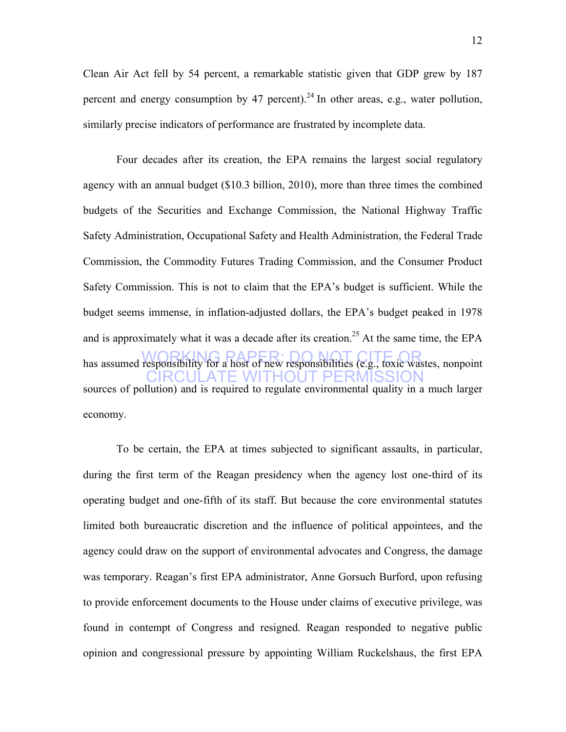Clean Air Act fell by 54 percent, a remarkable statistic given that GDP grew by 187 percent and energy consumption by 47 percent).<sup>24</sup> In other areas, e.g., water pollution, similarly precise indicators of performance are frustrated by incomplete data.

has assumed responsibility for a host of new responsibilities (e.g., toxic wastes, nonpoint CIRCULATE WITHOUT PERMISSION Four decades after its creation, the EPA remains the largest social regulatory agency with an annual budget (\$10.3 billion, 2010), more than three times the combined budgets of the Securities and Exchange Commission, the National Highway Traffic Safety Administration, Occupational Safety and Health Administration, the Federal Trade Commission, the Commodity Futures Trading Commission, and the Consumer Product Safety Commission. This is not to claim that the EPA's budget is sufficient. While the budget seems immense, in inflation-adjusted dollars, the EPA's budget peaked in 1978 and is approximately what it was a decade after its creation.<sup>25</sup> At the same time, the EPA sources of pollution) and is required to regulate environmental quality in a much larger economy.

To be certain, the EPA at times subjected to significant assaults, in particular, during the first term of the Reagan presidency when the agency lost one-third of its operating budget and one-fifth of its staff. But because the core environmental statutes limited both bureaucratic discretion and the influence of political appointees, and the agency could draw on the support of environmental advocates and Congress, the damage was temporary. Reagan's first EPA administrator, Anne Gorsuch Burford, upon refusing to provide enforcement documents to the House under claims of executive privilege, was found in contempt of Congress and resigned. Reagan responded to negative public opinion and congressional pressure by appointing William Ruckelshaus, the first EPA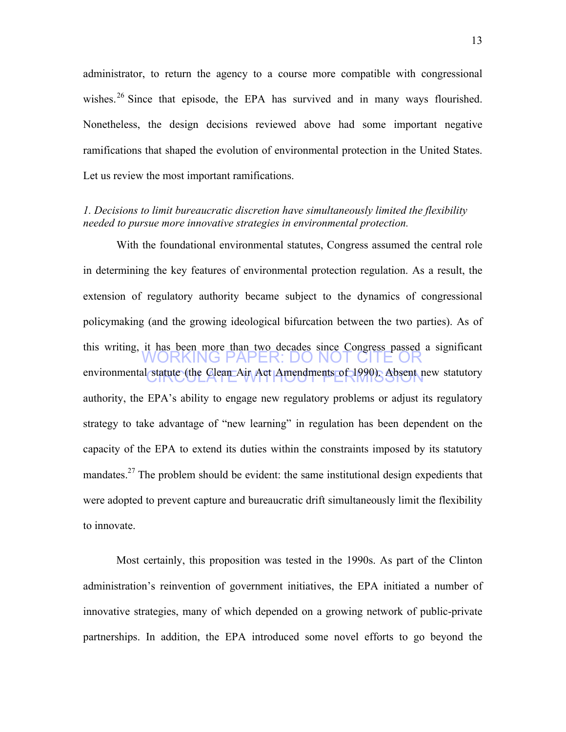administrator, to return the agency to a course more compatible with congressional wishes.<sup>26</sup> Since that episode, the EPA has survived and in many ways flourished. Nonetheless, the design decisions reviewed above had some important negative ramifications that shaped the evolution of environmental protection in the United States. Let us review the most important ramifications.

## *1. Decisions to limit bureaucratic discretion have simultaneously limited the flexibility needed to pursue more innovative strategies in environmental protection.*

KING PAPER: DO NO environmental statute (the Clean Air Act Amendments of 1990). Absent new statutory With the foundational environmental statutes, Congress assumed the central role in determining the key features of environmental protection regulation. As a result, the extension of regulatory authority became subject to the dynamics of congressional policymaking (and the growing ideological bifurcation between the two parties). As of this writing, it has been more than two decades since Congress passed a significant authority, the EPA's ability to engage new regulatory problems or adjust its regulatory strategy to take advantage of "new learning" in regulation has been dependent on the capacity of the EPA to extend its duties within the constraints imposed by its statutory mandates.<sup>27</sup> The problem should be evident: the same institutional design expedients that were adopted to prevent capture and bureaucratic drift simultaneously limit the flexibility to innovate.

Most certainly, this proposition was tested in the 1990s. As part of the Clinton administration's reinvention of government initiatives, the EPA initiated a number of innovative strategies, many of which depended on a growing network of public-private partnerships. In addition, the EPA introduced some novel efforts to go beyond the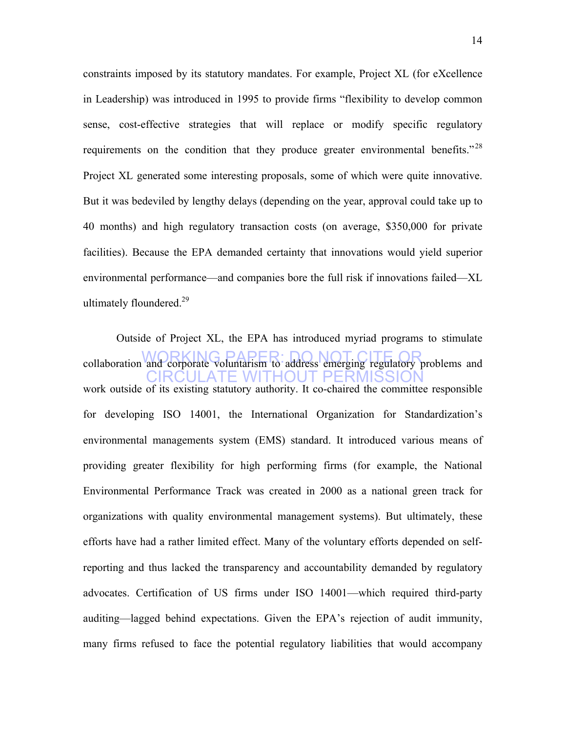constraints imposed by its statutory mandates. For example, Project XL (for eXcellence in Leadership) was introduced in 1995 to provide firms "flexibility to develop common sense, cost-effective strategies that will replace or modify specific regulatory requirements on the condition that they produce greater environmental benefits."<sup>28</sup> Project XL generated some interesting proposals, some of which were quite innovative. But it was bedeviled by lengthy delays (depending on the year, approval could take up to 40 months) and high regulatory transaction costs (on average, \$350,000 for private facilities). Because the EPA demanded certainty that innovations would yield superior environmental performance—and companies bore the full risk if innovations failed—XL ultimately floundered.<sup>29</sup>

collaboration and corporate voluntarism to address emerging regulatory problems and CIRCULATE WITHOUT PERMISSION Outside of Project XL, the EPA has introduced myriad programs to stimulate work outside of its existing statutory authority. It co-chaired the committee responsible for developing ISO 14001, the International Organization for Standardization's environmental managements system (EMS) standard. It introduced various means of providing greater flexibility for high performing firms (for example, the National Environmental Performance Track was created in 2000 as a national green track for organizations with quality environmental management systems). But ultimately, these efforts have had a rather limited effect. Many of the voluntary efforts depended on selfreporting and thus lacked the transparency and accountability demanded by regulatory advocates. Certification of US firms under ISO 14001—which required third-party auditing—lagged behind expectations. Given the EPA's rejection of audit immunity, many firms refused to face the potential regulatory liabilities that would accompany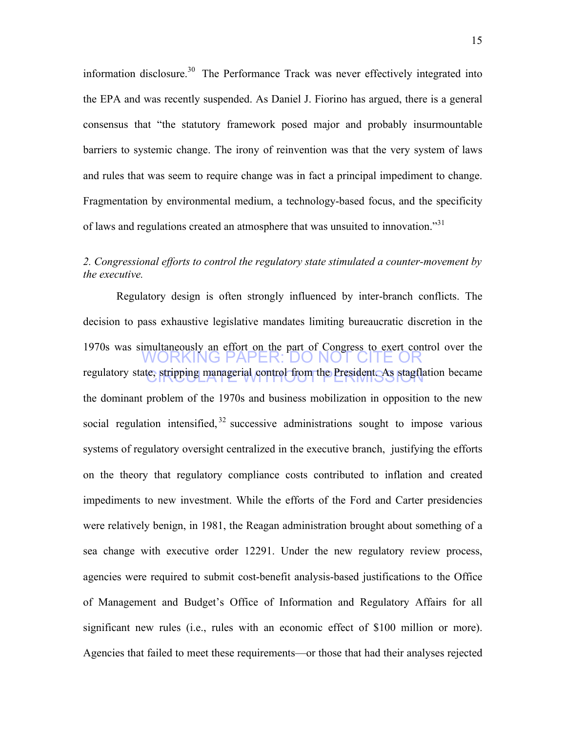information disclosure.<sup>30</sup> The Performance Track was never effectively integrated into the EPA and was recently suspended. As Daniel J. Fiorino has argued, there is a general consensus that "the statutory framework posed major and probably insurmountable barriers to systemic change. The irony of reinvention was that the very system of laws and rules that was seem to require change was in fact a principal impediment to change. Fragmentation by environmental medium, a technology-based focus, and the specificity of laws and regulations created an atmosphere that was unsuited to innovation."<sup>31</sup>

# *2. Congressional efforts to control the regulatory state stimulated a counter-movement by the executive.*

WORKING PAPER: DO NOT CITE OR regulatory state, stripping managerial control from the President. As stagflation became Regulatory design is often strongly influenced by inter-branch conflicts. The decision to pass exhaustive legislative mandates limiting bureaucratic discretion in the 1970s was simultaneously an effort on the part of Congress to exert control over the the dominant problem of the 1970s and business mobilization in opposition to the new social regulation intensified,  $32$  successive administrations sought to impose various systems of regulatory oversight centralized in the executive branch, justifying the efforts on the theory that regulatory compliance costs contributed to inflation and created impediments to new investment. While the efforts of the Ford and Carter presidencies were relatively benign, in 1981, the Reagan administration brought about something of a sea change with executive order 12291. Under the new regulatory review process, agencies were required to submit cost-benefit analysis-based justifications to the Office of Management and Budget's Office of Information and Regulatory Affairs for all significant new rules (i.e., rules with an economic effect of \$100 million or more). Agencies that failed to meet these requirements—or those that had their analyses rejected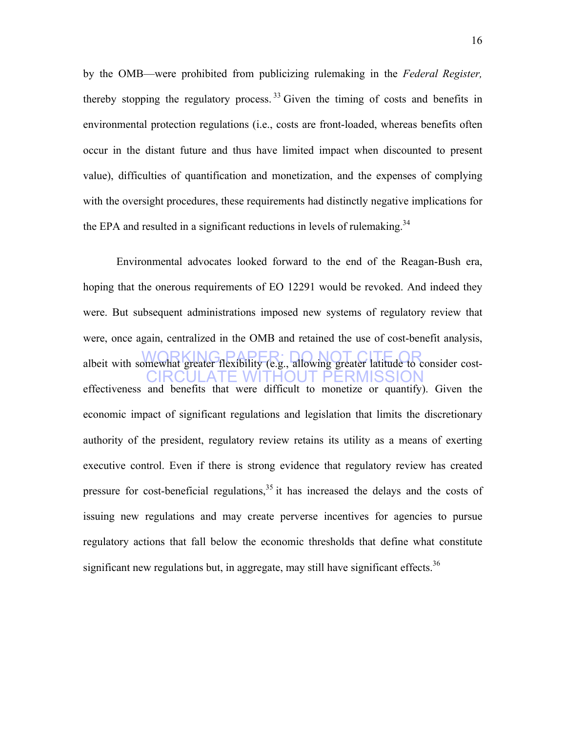by the OMB—were prohibited from publicizing rulemaking in the *Federal Register,* thereby stopping the regulatory process.  $33$  Given the timing of costs and benefits in environmental protection regulations (i.e., costs are front-loaded, whereas benefits often occur in the distant future and thus have limited impact when discounted to present value), difficulties of quantification and monetization, and the expenses of complying with the oversight procedures, these requirements had distinctly negative implications for the EPA and resulted in a significant reductions in levels of rulemaking.<sup>34</sup>

albeit with somewhat greater flexibility (e.g., allowing greater latitude to consider cost- CIRCULATE WITHOUT PERMISSION Environmental advocates looked forward to the end of the Reagan-Bush era, hoping that the onerous requirements of EO 12291 would be revoked. And indeed they were. But subsequent administrations imposed new systems of regulatory review that were, once again, centralized in the OMB and retained the use of cost-benefit analysis, effectiveness and benefits that were difficult to monetize or quantify). Given the economic impact of significant regulations and legislation that limits the discretionary authority of the president, regulatory review retains its utility as a means of exerting executive control. Even if there is strong evidence that regulatory review has created pressure for cost-beneficial regulations,  $35$  it has increased the delays and the costs of issuing new regulations and may create perverse incentives for agencies to pursue regulatory actions that fall below the economic thresholds that define what constitute significant new regulations but, in aggregate, may still have significant effects.<sup>36</sup>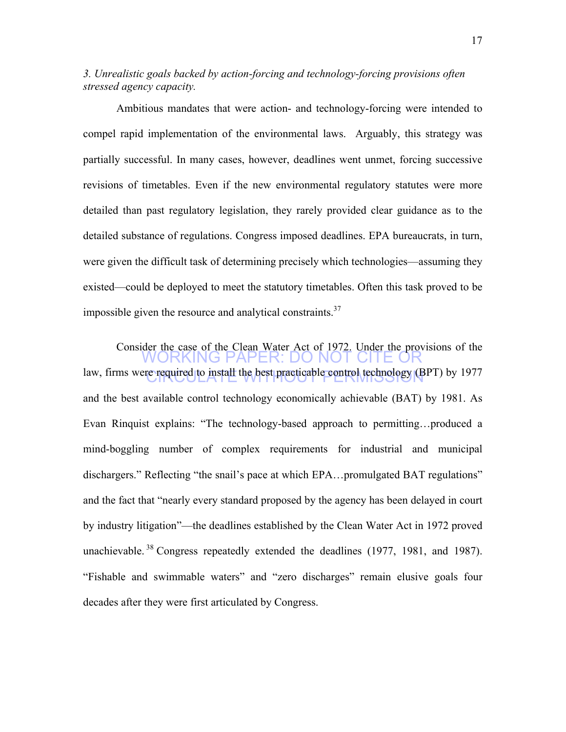*3. Unrealistic goals backed by action-forcing and technology-forcing provisions often stressed agency capacity.* 

Ambitious mandates that were action- and technology-forcing were intended to compel rapid implementation of the environmental laws. Arguably, this strategy was partially successful. In many cases, however, deadlines went unmet, forcing successive revisions of timetables. Even if the new environmental regulatory statutes were more detailed than past regulatory legislation, they rarely provided clear guidance as to the detailed substance of regulations. Congress imposed deadlines. EPA bureaucrats, in turn, were given the difficult task of determining precisely which technologies—assuming they existed—could be deployed to meet the statutory timetables. Often this task proved to be impossible given the resource and analytical constraints.<sup>37</sup>

WORKING PAPER: DO NOT CITE OR law, firms were required to install the best practicable control technology (BPT) by 1977 Consider the case of the Clean Water Act of 1972. Under the provisions of the and the best available control technology economically achievable (BAT) by 1981. As Evan Rinquist explains: "The technology-based approach to permitting…produced a mind-boggling number of complex requirements for industrial and municipal dischargers." Reflecting "the snail's pace at which EPA…promulgated BAT regulations" and the fact that "nearly every standard proposed by the agency has been delayed in court by industry litigation"—the deadlines established by the Clean Water Act in 1972 proved unachievable.  $38$  Congress repeatedly extended the deadlines (1977, 1981, and 1987). "Fishable and swimmable waters" and "zero discharges" remain elusive goals four decades after they were first articulated by Congress.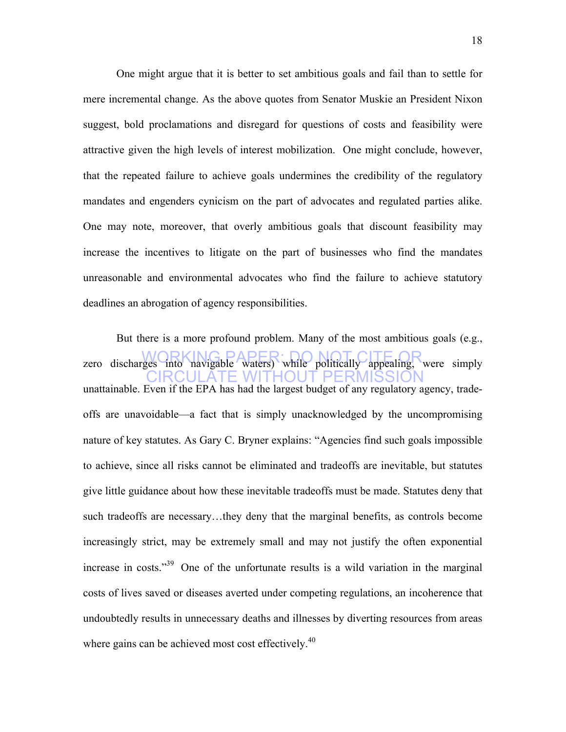One might argue that it is better to set ambitious goals and fail than to settle for mere incremental change. As the above quotes from Senator Muskie an President Nixon suggest, bold proclamations and disregard for questions of costs and feasibility were attractive given the high levels of interest mobilization. One might conclude, however, that the repeated failure to achieve goals undermines the credibility of the regulatory mandates and engenders cynicism on the part of advocates and regulated parties alike. One may note, moreover, that overly ambitious goals that discount feasibility may increase the incentives to litigate on the part of businesses who find the mandates unreasonable and environmental advocates who find the failure to achieve statutory deadlines an abrogation of agency responsibilities.

zero discharges into navigable waters) while politically appealing, were simply CIRCULATE WITHOUT PERMISSION But there is a more profound problem. Many of the most ambitious goals (e.g., unattainable. Even if the EPA has had the largest budget of any regulatory agency, tradeoffs are unavoidable—a fact that is simply unacknowledged by the uncompromising nature of key statutes. As Gary C. Bryner explains: "Agencies find such goals impossible to achieve, since all risks cannot be eliminated and tradeoffs are inevitable, but statutes give little guidance about how these inevitable tradeoffs must be made. Statutes deny that such tradeoffs are necessary…they deny that the marginal benefits, as controls become increasingly strict, may be extremely small and may not justify the often exponential increase in costs."39 One of the unfortunate results is a wild variation in the marginal costs of lives saved or diseases averted under competing regulations, an incoherence that undoubtedly results in unnecessary deaths and illnesses by diverting resources from areas where gains can be achieved most cost effectively. $40$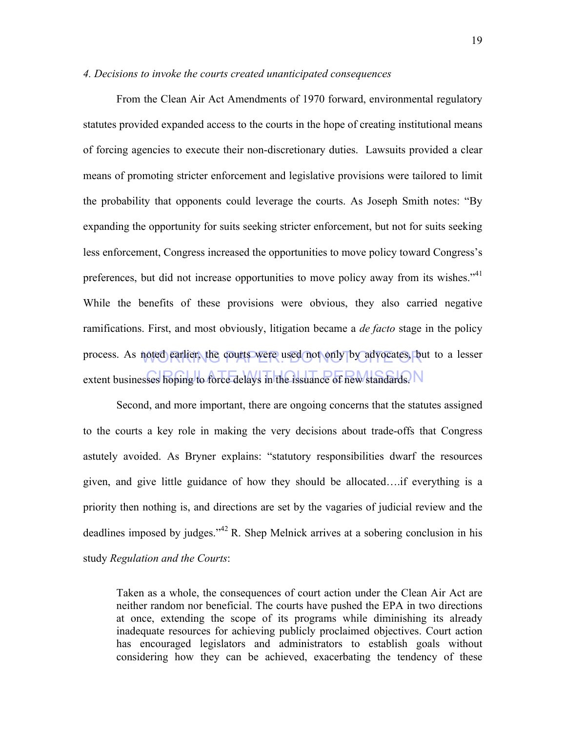#### *4. Decisions to invoke the courts created unanticipated consequences*

process. As noted earlier, the courts were used not only by advocates, but to a lesser extent businesses hoping to force delays in the issuance of new standards. From the Clean Air Act Amendments of 1970 forward, environmental regulatory statutes provided expanded access to the courts in the hope of creating institutional means of forcing agencies to execute their non-discretionary duties. Lawsuits provided a clear means of promoting stricter enforcement and legislative provisions were tailored to limit the probability that opponents could leverage the courts. As Joseph Smith notes: "By expanding the opportunity for suits seeking stricter enforcement, but not for suits seeking less enforcement, Congress increased the opportunities to move policy toward Congress's preferences, but did not increase opportunities to move policy away from its wishes.<sup>"41</sup> While the benefits of these provisions were obvious, they also carried negative ramifications. First, and most obviously, litigation became a *de facto* stage in the policy

Second, and more important, there are ongoing concerns that the statutes assigned to the courts a key role in making the very decisions about trade-offs that Congress astutely avoided. As Bryner explains: "statutory responsibilities dwarf the resources given, and give little guidance of how they should be allocated….if everything is a priority then nothing is, and directions are set by the vagaries of judicial review and the deadlines imposed by judges."<sup>42</sup> R. Shep Melnick arrives at a sobering conclusion in his study *Regulation and the Courts*:

Taken as a whole, the consequences of court action under the Clean Air Act are neither random nor beneficial. The courts have pushed the EPA in two directions at once, extending the scope of its programs while diminishing its already inadequate resources for achieving publicly proclaimed objectives. Court action has encouraged legislators and administrators to establish goals without considering how they can be achieved, exacerbating the tendency of these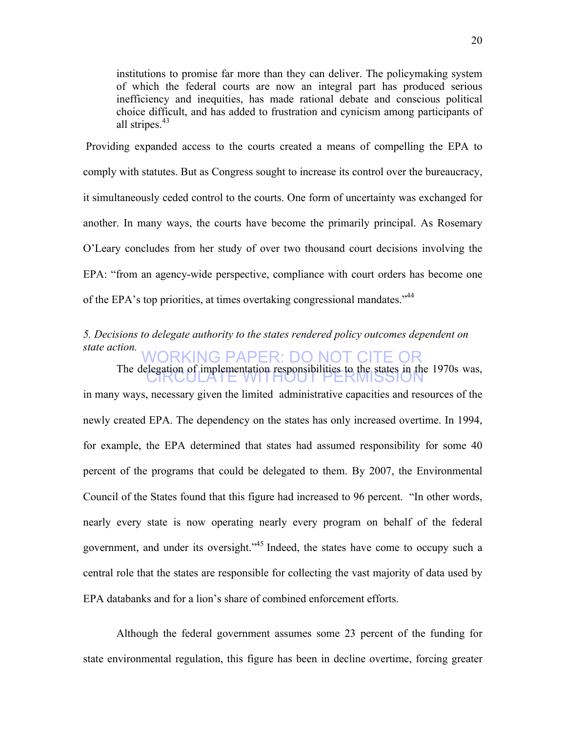institutions to promise far more than they can deliver. The policymaking system of which the federal courts are now an integral part has produced serious inefficiency and inequities, has made rational debate and conscious political choice difficult, and has added to frustration and cynicism among participants of all stripes. $43$ 

Providing expanded access to the courts created a means of compelling the EPA to comply with statutes. But as Congress sought to increase its control over the bureaucracy, it simultaneously ceded control to the courts. One form of uncertainty was exchanged for another. In many ways, the courts have become the primarily principal. As Rosemary O'Leary concludes from her study of over two thousand court decisions involving the EPA: "from an agency-wide perspective, compliance with court orders has become one of the EPA's top priorities, at times overtaking congressional mandates."<sup>44</sup>

#### WORKING PAPER: DO NOT CITE OR *5. Decisions to delegate authority to the states rendered policy outcomes dependent on state action.*

The delegation of implementation responsibilities to the states in the 1970s was, in many ways, necessary given the limited administrative capacities and resources of the newly created EPA. The dependency on the states has only increased overtime. In 1994, for example, the EPA determined that states had assumed responsibility for some 40 percent of the programs that could be delegated to them. By 2007, the Environmental Council of the States found that this figure had increased to 96 percent. "In other words, nearly every state is now operating nearly every program on behalf of the federal government, and under its oversight."45 Indeed, the states have come to occupy such a central role that the states are responsible for collecting the vast majority of data used by EPA databanks and for a lion's share of combined enforcement efforts.

Although the federal government assumes some 23 percent of the funding for state environmental regulation, this figure has been in decline overtime, forcing greater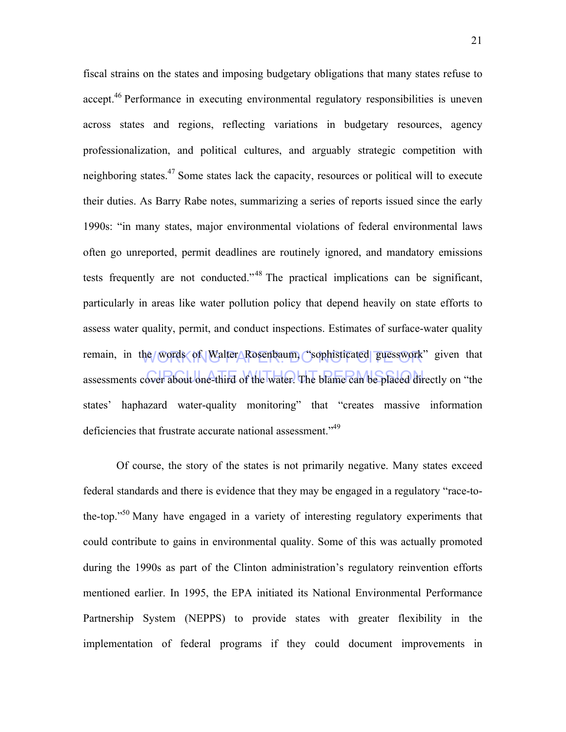remain, in the words of Walter Rosenbaum, "sophisticated guesswork" given that assessments cover about one-third of the water. The blame can be placed directly on "the fiscal strains on the states and imposing budgetary obligations that many states refuse to accept.<sup>46</sup> Performance in executing environmental regulatory responsibilities is uneven across states and regions, reflecting variations in budgetary resources, agency professionalization, and political cultures, and arguably strategic competition with neighboring states.<sup>47</sup> Some states lack the capacity, resources or political will to execute their duties. As Barry Rabe notes, summarizing a series of reports issued since the early 1990s: "in many states, major environmental violations of federal environmental laws often go unreported, permit deadlines are routinely ignored, and mandatory emissions tests frequently are not conducted."<sup>48</sup> The practical implications can be significant, particularly in areas like water pollution policy that depend heavily on state efforts to assess water quality, permit, and conduct inspections. Estimates of surface-water quality states' haphazard water-quality monitoring" that "creates massive information deficiencies that frustrate accurate national assessment."<sup>49</sup>

Of course, the story of the states is not primarily negative. Many states exceed federal standards and there is evidence that they may be engaged in a regulatory "race-tothe-top."50 Many have engaged in a variety of interesting regulatory experiments that could contribute to gains in environmental quality. Some of this was actually promoted during the 1990s as part of the Clinton administration's regulatory reinvention efforts mentioned earlier. In 1995, the EPA initiated its National Environmental Performance Partnership System (NEPPS) to provide states with greater flexibility in the implementation of federal programs if they could document improvements in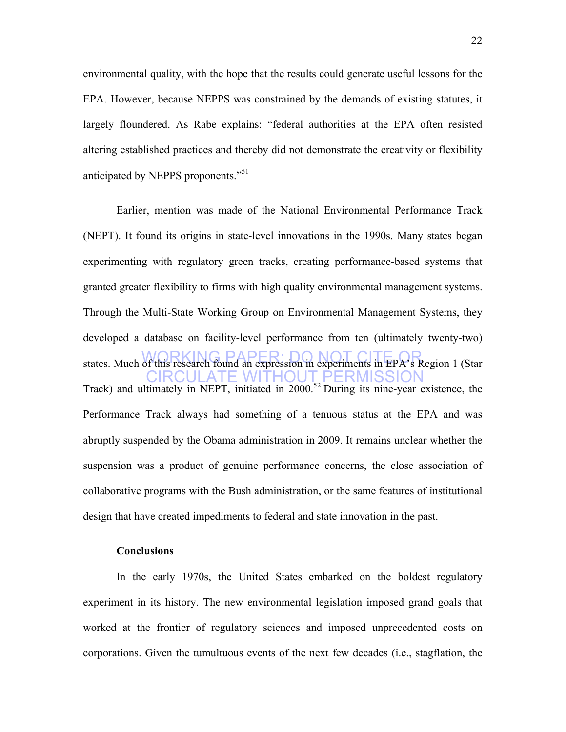environmental quality, with the hope that the results could generate useful lessons for the EPA. However, because NEPPS was constrained by the demands of existing statutes, it largely floundered. As Rabe explains: "federal authorities at the EPA often resisted altering established practices and thereby did not demonstrate the creativity or flexibility anticipated by NEPPS proponents."<sup>51</sup>

states. Much of this research found an expression in experiments in EPA's Region 1 (Star CIRCULATE WITHOUT PERMISSION Earlier, mention was made of the National Environmental Performance Track (NEPT). It found its origins in state-level innovations in the 1990s. Many states began experimenting with regulatory green tracks, creating performance-based systems that granted greater flexibility to firms with high quality environmental management systems. Through the Multi-State Working Group on Environmental Management Systems, they developed a database on facility-level performance from ten (ultimately twenty-two) Track) and ultimately in NEPT, initiated in 2000.<sup>52</sup> During its nine-year existence, the Performance Track always had something of a tenuous status at the EPA and was abruptly suspended by the Obama administration in 2009. It remains unclear whether the suspension was a product of genuine performance concerns, the close association of collaborative programs with the Bush administration, or the same features of institutional design that have created impediments to federal and state innovation in the past.

### **Conclusions**

In the early 1970s, the United States embarked on the boldest regulatory experiment in its history. The new environmental legislation imposed grand goals that worked at the frontier of regulatory sciences and imposed unprecedented costs on corporations. Given the tumultuous events of the next few decades (i.e., stagflation, the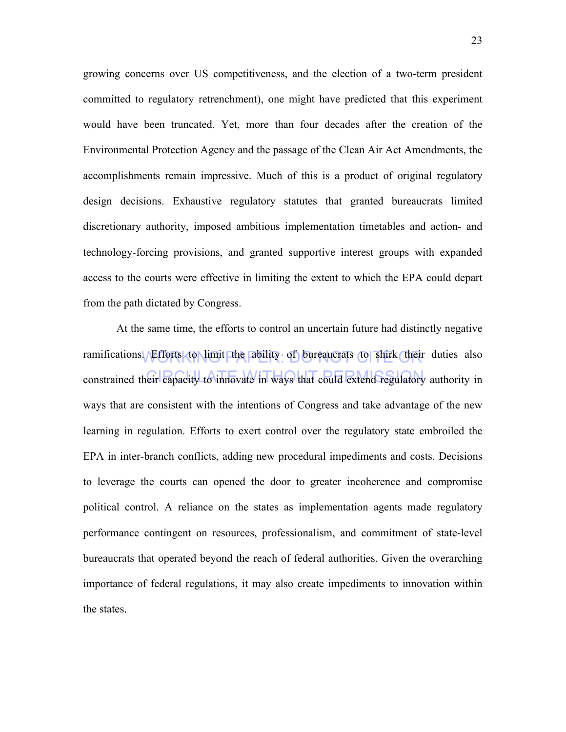growing concerns over US competitiveness, and the election of a two-term president committed to regulatory retrenchment), one might have predicted that this experiment would have been truncated. Yet, more than four decades after the creation of the Environmental Protection Agency and the passage of the Clean Air Act Amendments, the accomplishments remain impressive. Much of this is a product of original regulatory design decisions. Exhaustive regulatory statutes that granted bureaucrats limited discretionary authority, imposed ambitious implementation timetables and action- and technology-forcing provisions, and granted supportive interest groups with expanded access to the courts were effective in limiting the extent to which the EPA could depart from the path dictated by Congress.

ramifications. Efforts to Nimit the ability of bureaucrats to shirk their duties also constrained their capacity to innovate in ways that could extend regulatory authority in At the same time, the efforts to control an uncertain future had distinctly negative ways that are consistent with the intentions of Congress and take advantage of the new learning in regulation. Efforts to exert control over the regulatory state embroiled the EPA in inter-branch conflicts, adding new procedural impediments and costs. Decisions to leverage the courts can opened the door to greater incoherence and compromise political control. A reliance on the states as implementation agents made regulatory performance contingent on resources, professionalism, and commitment of state-level bureaucrats that operated beyond the reach of federal authorities. Given the overarching importance of federal regulations, it may also create impediments to innovation within the states.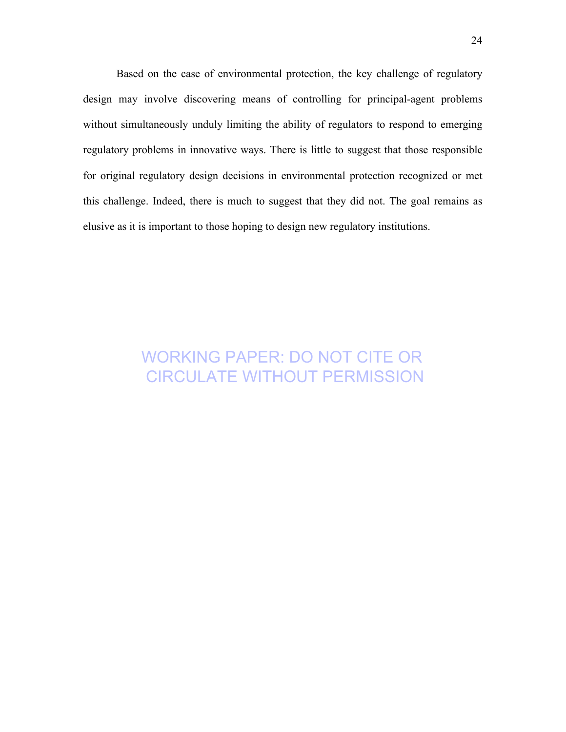Based on the case of environmental protection, the key challenge of regulatory design may involve discovering means of controlling for principal-agent problems without simultaneously unduly limiting the ability of regulators to respond to emerging regulatory problems in innovative ways. There is little to suggest that those responsible for original regulatory design decisions in environmental protection recognized or met this challenge. Indeed, there is much to suggest that they did not. The goal remains as elusive as it is important to those hoping to design new regulatory institutions.

# WORKING PAPER: DO NOT CITE OR CIRCULATE WITHOUT PERMISSION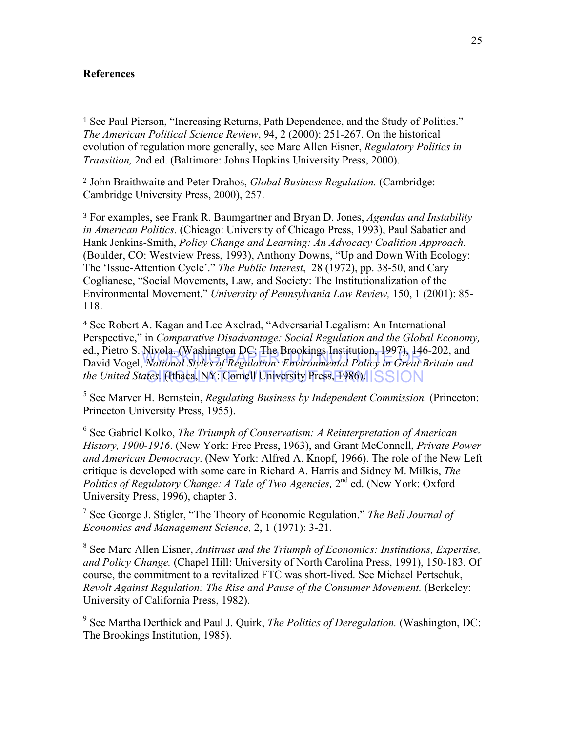#### **References**

<sup>1</sup> See Paul Pierson, "Increasing Returns, Path Dependence, and the Study of Politics." *The American Political Science Review*, 94, 2 (2000): 251-267. On the historical evolution of regulation more generally, see Marc Allen Eisner, *Regulatory Politics in Transition,* 2nd ed. (Baltimore: Johns Hopkins University Press, 2000).

<sup>2</sup> John Braithwaite and Peter Drahos, *Global Business Regulation.* (Cambridge: Cambridge University Press, 2000), 257.

<sup>3</sup> For examples, see Frank R. Baumgartner and Bryan D. Jones, *Agendas and Instability in American Politics.* (Chicago: University of Chicago Press, 1993), Paul Sabatier and Hank Jenkins-Smith, *Policy Change and Learning: An Advocacy Coalition Approach.*  (Boulder, CO: Westview Press, 1993), Anthony Downs, "Up and Down With Ecology: The 'Issue-Attention Cycle'." *The Public Interest*, 28 (1972), pp. 38-50, and Cary Coglianese, "Social Movements, Law, and Society: The Institutionalization of the Environmental Movement." *University of Pennsylvania Law Review,* 150, 1 (2001): 85- 118.

ed., Field S. Infoia. (*washington DC*, The Brookings Institution, 1997), 140-202, and<br>David Vogel, *National Styles of Regulation: Environmental Policy in Great Britain and the United States.* (Ithaca, NY: Cornell University Press, 1986). **ISSION** <sup>4</sup> See Robert A. Kagan and Lee Axelrad, "Adversarial Legalism: An International Perspective," in *Comparative Disadvantage: Social Regulation and the Global Economy,* ed., Pietro S. Nivola. (Washington DC: The Brookings Institution, 1997), 146-202, and

<sup>5</sup> See Marver H. Bernstein, *Regulating Business by Independent Commission.* (Princeton: Princeton University Press, 1955).

<sup>6</sup> See Gabriel Kolko, *The Triumph of Conservatism: A Reinterpretation of American History, 1900-1916*. (New York: Free Press, 1963), and Grant McConnell, *Private Power and American Democracy*. (New York: Alfred A. Knopf, 1966). The role of the New Left critique is developed with some care in Richard A. Harris and Sidney M. Milkis, *The Politics of Regulatory Change: A Tale of Two Agencies,* 2<sup>nd</sup> ed. (New York: Oxford University Press, 1996), chapter 3.

<sup>7</sup> See George J. Stigler, "The Theory of Economic Regulation." *The Bell Journal of Economics and Management Science,* 2, 1 (1971): 3-21.

<sup>8</sup> See Marc Allen Eisner, *Antitrust and the Triumph of Economics: Institutions, Expertise, and Policy Change.* (Chapel Hill: University of North Carolina Press, 1991), 150-183. Of course, the commitment to a revitalized FTC was short-lived. See Michael Pertschuk, *Revolt Against Regulation: The Rise and Pause of the Consumer Movement.* (Berkeley: University of California Press, 1982).

<sup>9</sup> See Martha Derthick and Paul J. Quirk, *The Politics of Deregulation.* (Washington, DC: The Brookings Institution, 1985).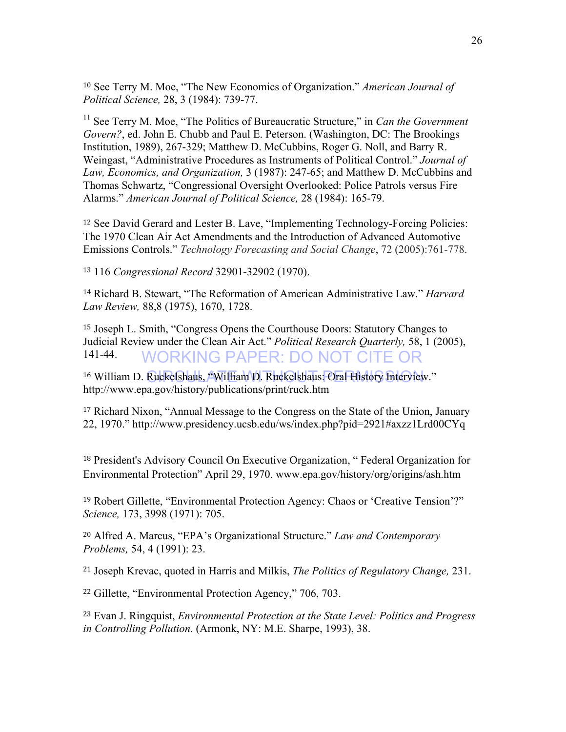<sup>10</sup> See Terry M. Moe, "The New Economics of Organization." *American Journal of Political Science,* 28, 3 (1984): 739-77.

<sup>11</sup> See Terry M. Moe, "The Politics of Bureaucratic Structure," in *Can the Government Govern?*, ed. John E. Chubb and Paul E. Peterson. (Washington, DC: The Brookings Institution, 1989), 267-329; Matthew D. McCubbins, Roger G. Noll, and Barry R. Weingast, "Administrative Procedures as Instruments of Political Control." *Journal of Law, Economics, and Organization,* 3 (1987): 247-65; and Matthew D. McCubbins and Thomas Schwartz, "Congressional Oversight Overlooked: Police Patrols versus Fire Alarms." *American Journal of Political Science,* 28 (1984): 165-79.

<sup>12</sup> See David Gerard and Lester B. Lave, "Implementing Technology-Forcing Policies: The 1970 Clean Air Act Amendments and the Introduction of Advanced Automotive Emissions Controls." *Technology Forecasting and Social Change*, 72 (2005):761-778.

<sup>13</sup> 116 *Congressional Record* 32901-32902 (1970).

<sup>14</sup> Richard B. Stewart, "The Reformation of American Administrative Law." *Harvard Law Review,* 88,8 (1975), 1670, 1728.

WORKING PAPER: DO NOT CITE OR <sup>15</sup> Joseph L. Smith, "Congress Opens the Courthouse Doors: Statutory Changes to Judicial Review under the Clean Air Act." *Political Research Quarterly,* 58, 1 (2005), 141-44.

<sup>16</sup> William D. Ruckelshaus, "William D. Ruckelshaus: Oral History Interview." http://www.epa.gov/history/publications/print/ruck.htm

<sup>17</sup> Richard Nixon, "Annual Message to the Congress on the State of the Union, January 22, 1970." http://www.presidency.ucsb.edu/ws/index.php?pid=2921#axzz1Lrd00CYq

<sup>18</sup> President's Advisory Council On Executive Organization, " Federal Organization for Environmental Protection" April 29, 1970. www.epa.gov/history/org/origins/ash.htm

<sup>19</sup> Robert Gillette, "Environmental Protection Agency: Chaos or 'Creative Tension'?" *Science,* 173, 3998 (1971): 705.

<sup>20</sup> Alfred A. Marcus, "EPA's Organizational Structure." *Law and Contemporary Problems,* 54, 4 (1991): 23.

<sup>21</sup> Joseph Krevac, quoted in Harris and Milkis, *The Politics of Regulatory Change,* 231.

<sup>22</sup> Gillette, "Environmental Protection Agency," 706, 703.

<sup>23</sup> Evan J. Ringquist, *Environmental Protection at the State Level: Politics and Progress in Controlling Pollution*. (Armonk, NY: M.E. Sharpe, 1993), 38.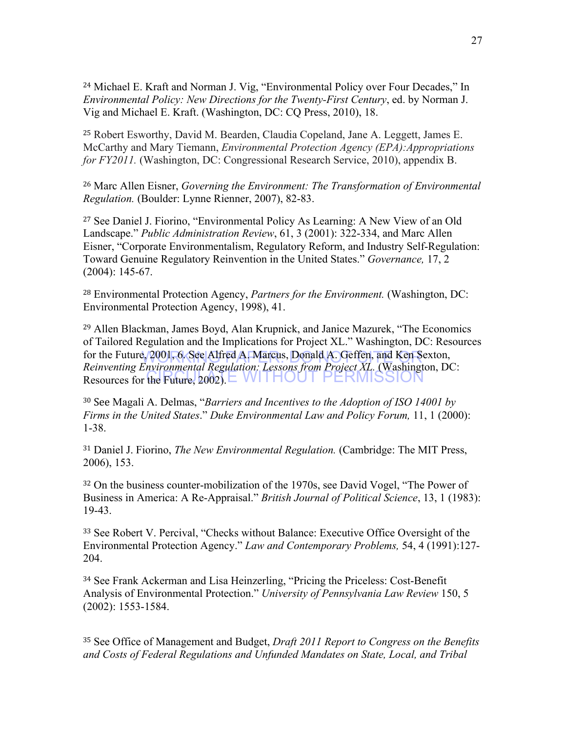<sup>24</sup> Michael E. Kraft and Norman J. Vig, "Environmental Policy over Four Decades," In *Environmental Policy: New Directions for the Twenty-First Century*, ed. by Norman J. Vig and Michael E. Kraft. (Washington, DC: CQ Press, 2010), 18.

<sup>25</sup> Robert Esworthy, David M. Bearden, Claudia Copeland, Jane A. Leggett, James E. McCarthy and Mary Tiemann, *Environmental Protection Agency (EPA):Appropriations for FY2011.* (Washington, DC: Congressional Research Service, 2010), appendix B.

<sup>26</sup> Marc Allen Eisner, *Governing the Environment: The Transformation of Environmental Regulation.* (Boulder: Lynne Rienner, 2007), 82-83.

<sup>27</sup> See Daniel J. Fiorino, "Environmental Policy As Learning: A New View of an Old Landscape." *Public Administration Review*, 61, 3 (2001): 322-334, and Marc Allen Eisner, "Corporate Environmentalism, Regulatory Reform, and Industry Self-Regulation: Toward Genuine Regulatory Reinvention in the United States." *Governance,* 17, 2 (2004): 145-67.

<sup>28</sup> Environmental Protection Agency, *Partners for the Environment.* (Washington, DC: Environmental Protection Agency, 1998), 41.

for the Future, 2001, 6. See Alfred A. Marcus, Donald A. Geffen, and Ken Sexton,<br>Reimanting Environmental Regulation Legeons from Broiset VI. (Weshington, D. Resources for the Future, 2002). EVVITHOUT PERMISSION <sup>29</sup> Allen Blackman, James Boyd, Alan Krupnick, and Janice Mazurek, "The Economics of Tailored Regulation and the Implications for Project XL." Washington, DC: Resources *Reinventing Environmental Regulation: Lessons from Project XL.* (Washington, DC:

<sup>30</sup> See Magali A. Delmas, "*Barriers and Incentives to the Adoption of ISO 14001 by Firms in the United States*." *Duke Environmental Law and Policy Forum,* 11, 1 (2000): 1-38.

<sup>31</sup> Daniel J. Fiorino, *The New Environmental Regulation.* (Cambridge: The MIT Press, 2006), 153.

<sup>32</sup> On the business counter-mobilization of the 1970s, see David Vogel, "The Power of Business in America: A Re-Appraisal." *British Journal of Political Science*, 13, 1 (1983): 19-43.

<sup>33</sup> See Robert V. Percival, "Checks without Balance: Executive Office Oversight of the Environmental Protection Agency." *Law and Contemporary Problems,* 54, 4 (1991):127- 204.

<sup>34</sup> See Frank Ackerman and Lisa Heinzerling, "Pricing the Priceless: Cost-Benefit Analysis of Environmental Protection." *University of Pennsylvania Law Review* 150, 5 (2002): 1553-1584.

<sup>35</sup> See Office of Management and Budget, *Draft 2011 Report to Congress on the Benefits and Costs of Federal Regulations and Unfunded Mandates on State, Local, and Tribal*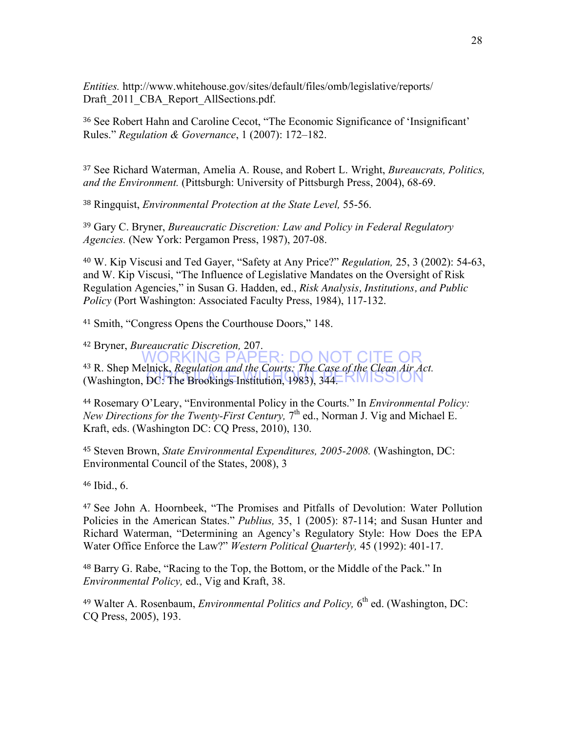*Entities.* http://www.whitehouse.gov/sites/default/files/omb/legislative/reports/ Draft 2011 CBA Report AllSections.pdf.

<sup>36</sup> See Robert Hahn and Caroline Cecot, "The Economic Significance of 'Insignificant' Rules." *Regulation & Governance*, 1 (2007): 172–182.

<sup>37</sup> See Richard Waterman, Amelia A. Rouse, and Robert L. Wright, *Bureaucrats, Politics, and the Environment.* (Pittsburgh: University of Pittsburgh Press, 2004), 68-69.

<sup>38</sup> Ringquist, *Environmental Protection at the State Level,* 55-56.

<sup>39</sup> Gary C. Bryner, *Bureaucratic Discretion: Law and Policy in Federal Regulatory Agencies.* (New York: Pergamon Press, 1987), 207-08.

<sup>40</sup> W. Kip Viscusi and Ted Gayer, "Safety at Any Price?" *Regulation,* 25, 3 (2002): 54-63, and W. Kip Viscusi, "The Influence of Legislative Mandates on the Oversight of Risk Regulation Agencies," in Susan G. Hadden, ed., *Risk Analysis, Institutions, and Public Policy* (Port Washington: Associated Faculty Press, 1984), 117-132.

<sup>41</sup> Smith, "Congress Opens the Courthouse Doors," 148.

WORKING PAPER: DO NOT CITE OR (Washington, DC: The Brookings Institution, 1983), 344. NMISSION <sup>42</sup> Bryner, *Bureaucratic Discretion,* 207. <sup>43</sup> R. Shep Melnick, *Regulation and the Courts: The Case of the Clean Air Act.*

<sup>44</sup> Rosemary O'Leary, "Environmental Policy in the Courts." In *Environmental Policy: New Directions for the Twenty-First Century*, 7<sup>th</sup> ed., Norman J. Vig and Michael E. Kraft, eds. (Washington DC: CQ Press, 2010), 130.

<sup>45</sup> Steven Brown, *State Environmental Expenditures, 2005-2008.* (Washington, DC: Environmental Council of the States, 2008), 3

<sup>46</sup> Ibid., 6.

<sup>47</sup> See John A. Hoornbeek, "The Promises and Pitfalls of Devolution: Water Pollution Policies in the American States." *Publius,* 35, 1 (2005): 87-114; and Susan Hunter and Richard Waterman, "Determining an Agency's Regulatory Style: How Does the EPA Water Office Enforce the Law?" *Western Political Quarterly,* 45 (1992): 401-17.

<sup>48</sup> Barry G. Rabe, "Racing to the Top, the Bottom, or the Middle of the Pack." In *Environmental Policy,* ed., Vig and Kraft, 38.

<sup>49</sup> Walter A. Rosenbaum, *Environmental Politics and Policy*, 6<sup>th</sup> ed. (Washington, DC: CQ Press, 2005), 193.